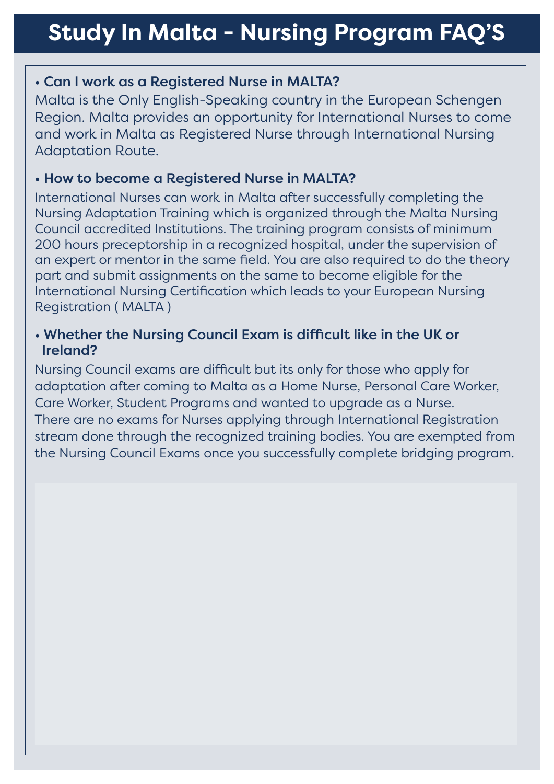#### ï Can I work as a Registered Nurse in MALTA?

Malta is the Only English-Speaking country in the European Schengen Region. Malta provides an opportunity for International Nurses to come and work in Malta as Registered Nurse through International Nursing Adaptation Route.

#### $\cdot$  How to become a Registered Nurse in MALTA?

International Nurses can work in Malta after successfully completing the Nursing Adaptation Training which is organized through the Malta Nursing Council accredited Institutions. The training program consists of minimum 200 hours preceptorship in a recognized hospital, under the supervision of an expert or mentor in the same field. You are also required to do the theory part and submit assignments on the same to become eligible for the International Nursing Certification which leads to your European Nursing Registration ( MALTA )

#### • Whether the Nursing Council Exam is difficult like in the UK or Ireland?

Nursing Council exams are difficult but its only for those who apply for adaptation after coming to Malta as a Home Nurse, Personal Care Worker, Care Worker, Student Programs and wanted to upgrade as a Nurse. There are no exams for Nurses applying through International Registration stream done through the recognized training bodies. You are exempted from the Nursing Council Exams once you successfully complete bridging program.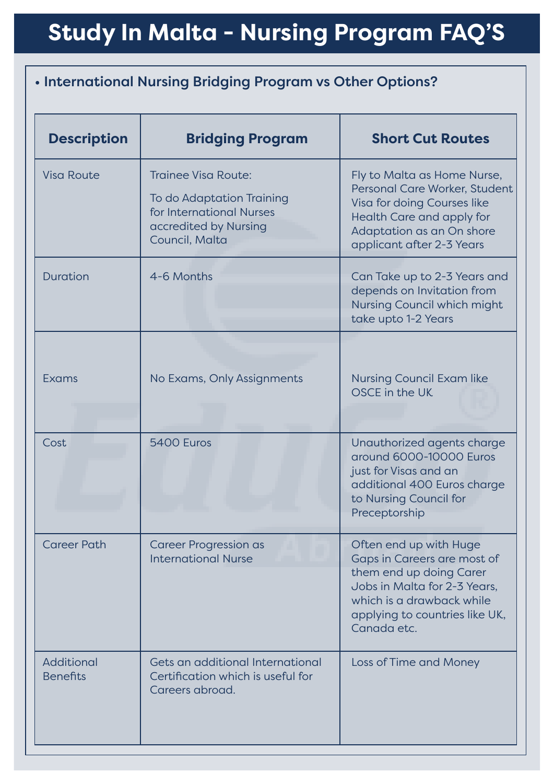# **Study In Malta - Nursing Program FAQ'S**

## • International Nursing Bridging Program vs Other Options?

| <b>Description</b>            | <b>Bridging Program</b>                                                                                                 | <b>Short Cut Routes</b>                                                                                                                                                                        |
|-------------------------------|-------------------------------------------------------------------------------------------------------------------------|------------------------------------------------------------------------------------------------------------------------------------------------------------------------------------------------|
| <b>Visa Route</b>             | Trainee Visa Route:<br>To do Adaptation Training<br>for International Nurses<br>accredited by Nursing<br>Council, Malta | Fly to Malta as Home Nurse,<br>Personal Care Worker, Student<br>Visa for doing Courses like<br>Health Care and apply for<br>Adaptation as an On shore<br>applicant after 2-3 Years             |
| Duration                      | 4-6 Months                                                                                                              | Can Take up to 2-3 Years and<br>depends on Invitation from<br>Nursing Council which might<br>take upto 1-2 Years                                                                               |
| Exams                         | No Exams, Only Assignments                                                                                              | <b>Nursing Council Exam like</b><br>OSCE in the UK                                                                                                                                             |
| Cost                          | 5400 Euros                                                                                                              | Unauthorized agents charge<br>around 6000-10000 Euros<br>just for Visas and an<br>additional 400 Euros charge<br>to Nursing Council for<br>Preceptorship                                       |
| <b>Career Path</b>            | <b>Career Progression as</b><br><b>International Nurse</b>                                                              | Often end up with Huge<br>Gaps in Careers are most of<br>them end up doing Carer<br>Jobs in Malta for 2-3 Years,<br>which is a drawback while<br>applying to countries like UK,<br>Canada etc. |
| Additional<br><b>Benefits</b> | Gets an additional International<br>Certification which is useful for<br>Careers abroad.                                | Loss of Time and Money                                                                                                                                                                         |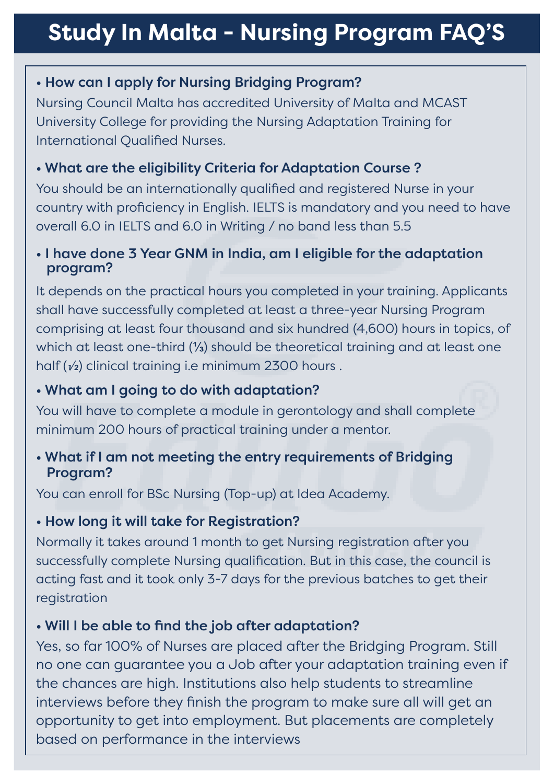## **Study In Malta - Nursing Program FAQ'S**

## • How can I apply for Nursing Bridging Program?

Nursing Council Malta has accredited University of Malta and MCAST University College for providing the Nursing Adaptation Training for International Qualified Nurses.

## • What are the eligibility Criteria for Adaptation Course?

You should be an internationally qualified and registered Nurse in your country with proficiency in English. IELTS is mandatory and you need to have overall 6.0 in IELTS and 6.0 in Writing / no band less than 5.5

#### • I have done 3 Year GNM in India, am I eligible for the adaptation program?

It depends on the practical hours you completed in your training. Applicants shall have successfully completed at least a three-year Nursing Program comprising at least four thousand and six hundred (4,600) hours in topics, of which at least one-third (**⅓**) should be theoretical training and at least one half  $(v_2)$  clinical training i.e minimum 2300 hours.

## • What am I going to do with adaptation?

You will have to complete a module in gerontology and shall complete minimum 200 hours of practical training under a mentor.

#### • What if I am not meeting the entry requirements of Bridging Program?

You can enroll for BSc Nursing (Top-up) at Idea Academy.

### • How long it will take for Registration?

Normally it takes around 1 month to get Nursing registration after you successfully complete Nursing qualification. But in this case, the council is acting fast and it took only 3-7 days for the previous batches to get their registration

### • Will I be able to find the job after adaptation?

Yes, so far 100% of Nurses are placed after the Bridging Program. Still no one can guarantee you a Job after your adaptation training even if the chances are high. Institutions also help students to streamline interviews before they finish the program to make sure all will get an opportunity to get into employment. But placements are completely based on performance in the interviews